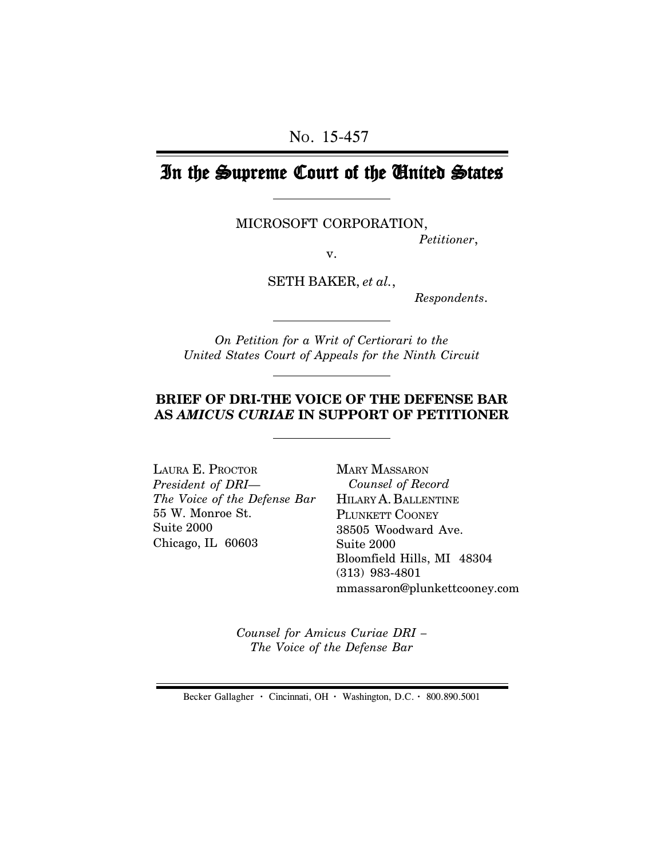# In the Supreme Court of the United States

MICROSOFT CORPORATION,

*Petitioner*,

v.

SETH BAKER, *et al.*,

 *Respondents*.

*On Petition for a Writ of Certiorari to the United States Court of Appeals for the Ninth Circuit*

## **BRIEF OF DRI-THE VOICE OF THE DEFENSE BAR AS** *AMICUS CURIAE* **IN SUPPORT OF PETITIONER**

LAURA E. PROCTOR *President of DRI— The Voice of the Defense Bar* 55 W. Monroe St. Suite 2000 Chicago, IL 60603

MARY MASSARON  *Counsel of Record* HILARY A. BALLENTINE PLUNKETT COONEY 38505 Woodward Ave. Suite 2000 Bloomfield Hills, MI 48304 (313) 983-4801 mmassaron@plunkettcooney.com

*Counsel for Amicus Curiae DRI – The Voice of the Defense Bar*

Becker Gallagher **·** Cincinnati, OH **·** Washington, D.C. **·** 800.890.5001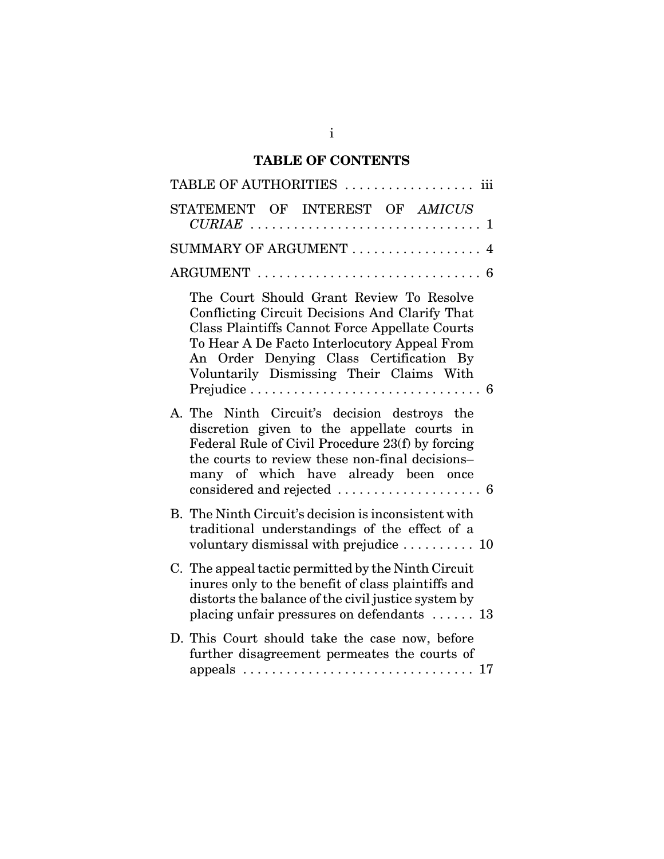# **TABLE OF CONTENTS**

| TABLE OF AUTHORITIES  iii                                                                                                                                                                                                                                                           |
|-------------------------------------------------------------------------------------------------------------------------------------------------------------------------------------------------------------------------------------------------------------------------------------|
| STATEMENT OF INTEREST OF AMICUS                                                                                                                                                                                                                                                     |
| SUMMARY OF ARGUMENT  4                                                                                                                                                                                                                                                              |
| ARGUMENT $\ldots \ldots \ldots \ldots \ldots \ldots \ldots \ldots \ldots 6$                                                                                                                                                                                                         |
| The Court Should Grant Review To Resolve<br>Conflicting Circuit Decisions And Clarify That<br>Class Plaintiffs Cannot Force Appellate Courts<br>To Hear A De Facto Interlocutory Appeal From<br>An Order Denying Class Certification By<br>Voluntarily Dismissing Their Claims With |
| A. The Ninth Circuit's decision destroys the<br>discretion given to the appellate courts in<br>Federal Rule of Civil Procedure 23(f) by forcing<br>the courts to review these non-final decisions-<br>many of which have already been once                                          |
| B. The Ninth Circuit's decision is inconsistent with<br>traditional understandings of the effect of a<br>voluntary dismissal with prejudice  10                                                                                                                                     |
| C. The appeal tactic permitted by the Ninth Circuit<br>inures only to the benefit of class plaintiffs and<br>distorts the balance of the civil justice system by<br>placing unfair pressures on defendants $\dots$ 13                                                               |
| D. This Court should take the case now, before<br>further disagreement permeates the courts of<br>17                                                                                                                                                                                |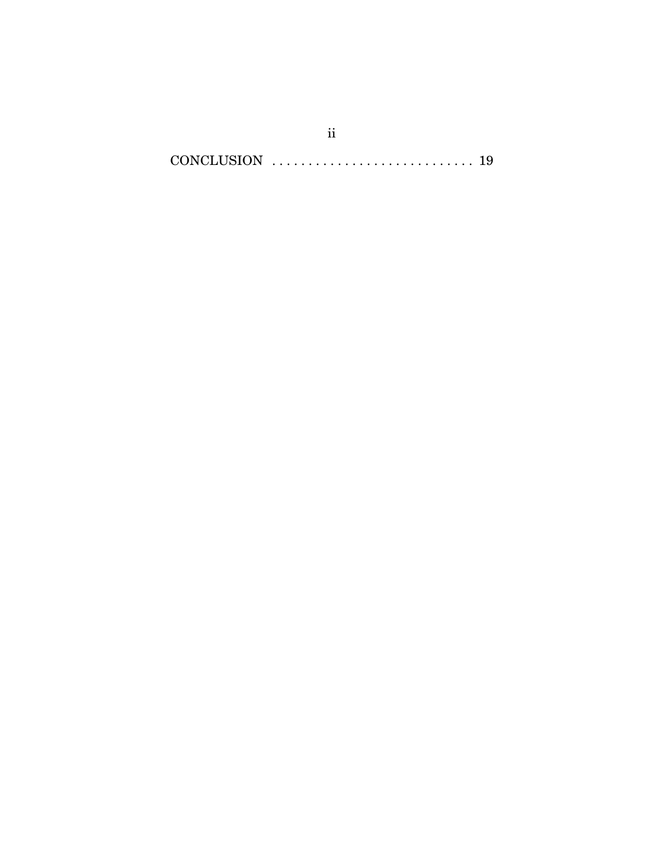CONCLUSION . . . . . . . . . . . . . . . . . . . . . . . . . . . . 19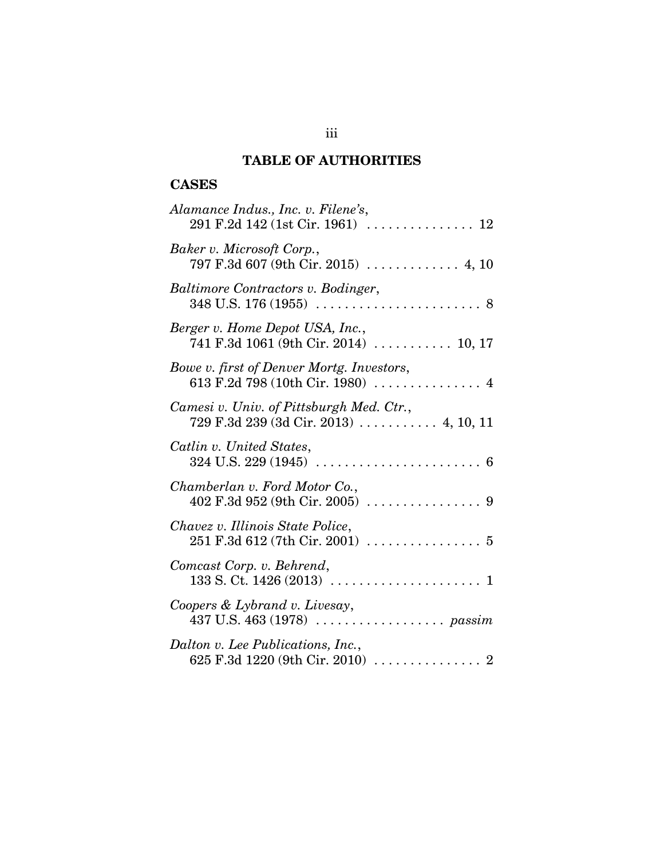# **TABLE OF AUTHORITIES**

# **CASES**

| Alamance Indus., Inc. v. Filene's,                                                                 |
|----------------------------------------------------------------------------------------------------|
| Baker v. Microsoft Corp.,<br>797 F.3d 607 (9th Cir. 2015) $\ldots \ldots \ldots$ 4, 10             |
| Baltimore Contractors v. Bodinger,                                                                 |
| Berger v. Home Depot USA, Inc.,<br>741 F.3d 1061 (9th Cir. 2014) $\ldots$ 10, 17                   |
| Bowe v. first of Denver Mortg. Investors,<br>613 F.2d 798 (10th Cir. 1980)  4                      |
| Camesi v. Univ. of Pittsburgh Med. Ctr.,<br>729 F.3d 239 (3d Cir. 2013)  4, 10, 11                 |
| Catlin v. United States,                                                                           |
| Chamberlan v. Ford Motor Co.,                                                                      |
| Chavez v. Illinois State Police,                                                                   |
| Comcast Corp. v. Behrend,                                                                          |
| Coopers & Lybrand v. Livesay,                                                                      |
| Dalton v. Lee Publications, Inc.,<br>625 F.3d 1220 (9th Cir. 2010) $\ldots \ldots \ldots \ldots$ 2 |

iii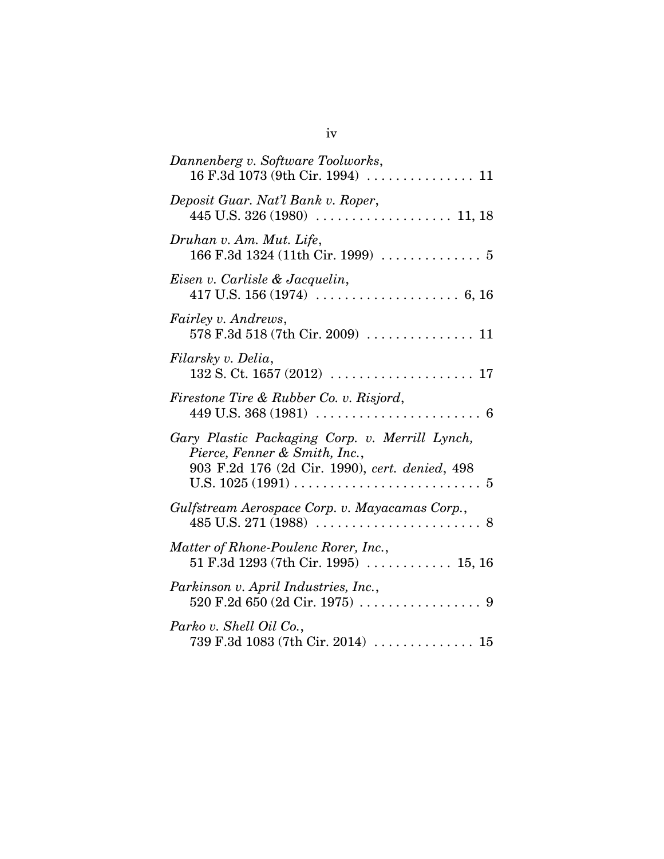| Dannenberg v. Software Toolworks,                                                                                                 |
|-----------------------------------------------------------------------------------------------------------------------------------|
| Deposit Guar. Nat'l Bank v. Roper,                                                                                                |
| Druhan v. Am. Mut. Life,<br>166 F.3d 1324 (11th Cir. 1999) $\ldots \ldots \ldots \ldots 5$                                        |
| Eisen v. Carlisle & Jacquelin,                                                                                                    |
| <i>Fairley v. Andrews,</i>                                                                                                        |
| Filarsky v. Delia,                                                                                                                |
| Firestone Tire & Rubber Co. v. Risjord,<br>$449$ U.S. $368$ (1981) $\ldots \ldots \ldots \ldots \ldots \ldots \ldots$<br>-6       |
| Gary Plastic Packaging Corp. v. Merrill Lynch,<br>Pierce, Fenner & Smith, Inc.,<br>903 F.2d 176 (2d Cir. 1990), cert. denied, 498 |
| Gulfstream Aerospace Corp. v. Mayacamas Corp.,                                                                                    |
| Matter of Rhone-Poulenc Rorer, Inc.,<br>51 F.3d 1293 (7th Cir. 1995) $\ldots$ 15, 16                                              |
| Parkinson v. April Industries, Inc.,<br>520 F.2d 650 (2d Cir. 1975) $\ldots \ldots \ldots \ldots \ldots$ 9                        |
| Parko v. Shell Oil Co.,<br>739 F.3d 1083 (7th Cir. 2014)  15                                                                      |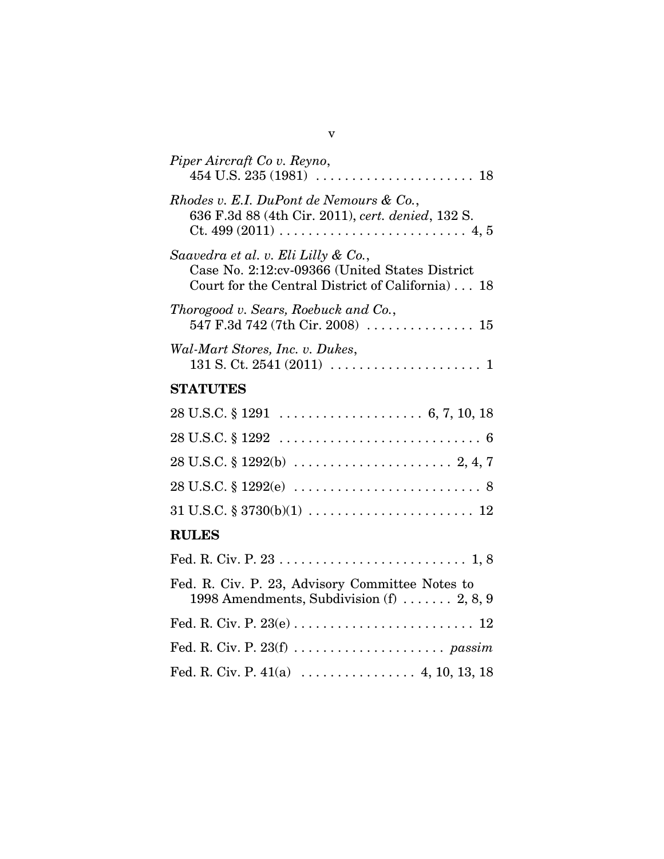| Piper Aircraft Co v. Reyno,                                                                                                               |
|-------------------------------------------------------------------------------------------------------------------------------------------|
| Rhodes v. E.I. DuPont de Nemours & Co.,<br>636 F.3d 88 (4th Cir. 2011), cert. denied, 132 S.                                              |
| Saavedra et al. v. Eli Lilly & Co.,<br>Case No. 2:12:cv-09366 (United States District<br>Court for the Central District of California) 18 |
| Thorogood v. Sears, Roebuck and Co.,<br>547 F.3d 742 (7th Cir. 2008) $\ldots \ldots \ldots \ldots \ldots 15$                              |
| Wal-Mart Stores, Inc. v. Dukes,                                                                                                           |
| <b>STATUTES</b>                                                                                                                           |
|                                                                                                                                           |
|                                                                                                                                           |
|                                                                                                                                           |
| $28 \text{ U.S.C.} \S 1292(e) \ldots \ldots \ldots \ldots \ldots \ldots \ldots \ldots \ldots \ldots \ldots \ldots \ldots$                 |
| $31 \text{ U.S.C.} \$ $3730(b)(1) \ldots \ldots \ldots \ldots \ldots \ldots \ldots \ldots 12$                                             |
| <b>RULES</b>                                                                                                                              |
|                                                                                                                                           |
| Fed. R. Civ. P. 23, Advisory Committee Notes to<br>1998 Amendments, Subdivision $(f)$ 2, 8, 9                                             |
|                                                                                                                                           |
|                                                                                                                                           |
|                                                                                                                                           |
|                                                                                                                                           |

v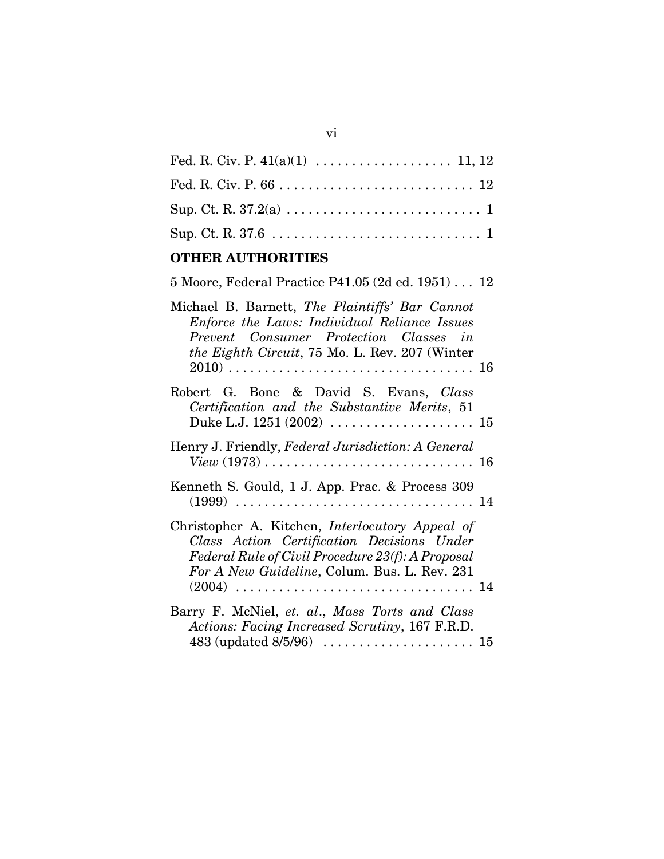# **OTHER AUTHORITIES**

| $5\text{ Moore}, \text{Federal Practice P41.05}$ $(2\text{d ed. }1951)\ldots\ 12$                                                                                                                                       |  |
|-------------------------------------------------------------------------------------------------------------------------------------------------------------------------------------------------------------------------|--|
| Michael B. Barnett, The Plaintiffs' Bar Cannot<br>Enforce the Laws: Individual Reliance Issues<br>Prevent Consumer Protection Classes in<br><i>the Eighth Circuit</i> , 75 Mo. L. Rev. 207 (Winter                      |  |
| Robert G. Bone & David S. Evans, Class<br>Certification and the Substantive Merits, 51<br>Duke L.J. $1251 (2002) \ldots \ldots \ldots \ldots \ldots \ldots \ldots 15$                                                   |  |
| Henry J. Friendly, Federal Jurisdiction: A General                                                                                                                                                                      |  |
| Kenneth S. Gould, 1 J. App. Prac. & Process 309                                                                                                                                                                         |  |
| Christopher A. Kitchen, <i>Interlocutory Appeal of</i><br>Class Action Certification Decisions Under<br>Federal Rule of Civil Procedure 23(f): A Proposal<br>For A New Guideline, Colum. Bus. L. Rev. 231<br>(2004)  14 |  |
| Barry F. McNiel, et. al., Mass Torts and Class<br>Actions: Facing Increased Scrutiny, 167 F.R.D.                                                                                                                        |  |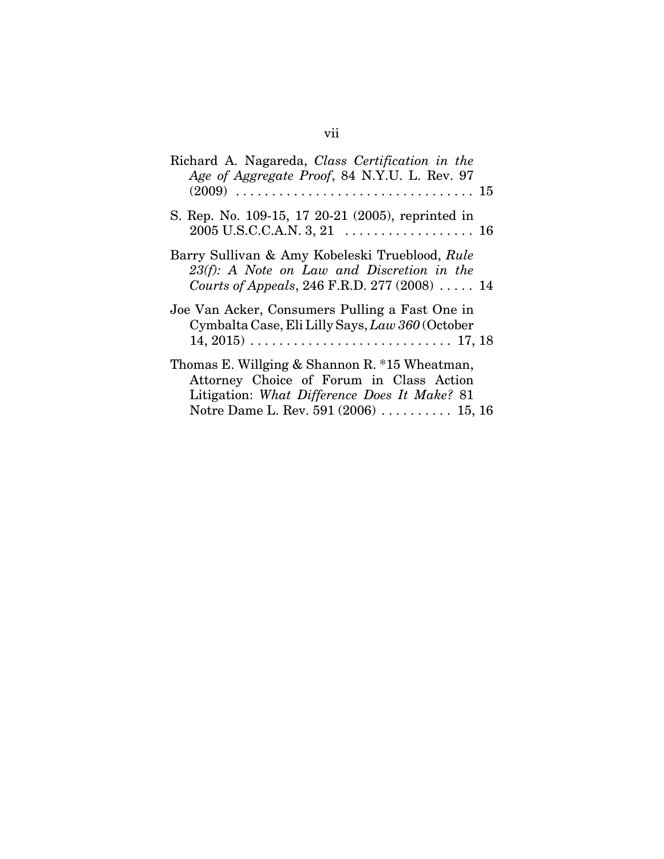| Richard A. Nagareda, Class Certification in the<br>Age of Aggregate Proof, 84 N.Y.U. L. Rev. 97                                                                                        |
|----------------------------------------------------------------------------------------------------------------------------------------------------------------------------------------|
| S. Rep. No. 109-15, 17 20-21 (2005), reprinted in                                                                                                                                      |
| Barry Sullivan & Amy Kobeleski Trueblood, Rule<br>23(f): A Note on Law and Discretion in the<br>Courts of Appeals, 246 F.R.D. 277 (2008)  14                                           |
| Joe Van Acker, Consumers Pulling a Fast One in<br>Cymbalta Case, Eli Lilly Says, Law 360 (October<br>$14, 2015) \ldots \ldots \ldots \ldots \ldots \ldots \ldots \ldots \ldots 17, 18$ |
| Thomas E. Willging & Shannon R. *15 Wheatman,<br>Attorney Choice of Forum in Class Action<br>Litigation: What Difference Does It Make? 81<br>Notre Dame L. Rev. 591 (2006)  15, 16     |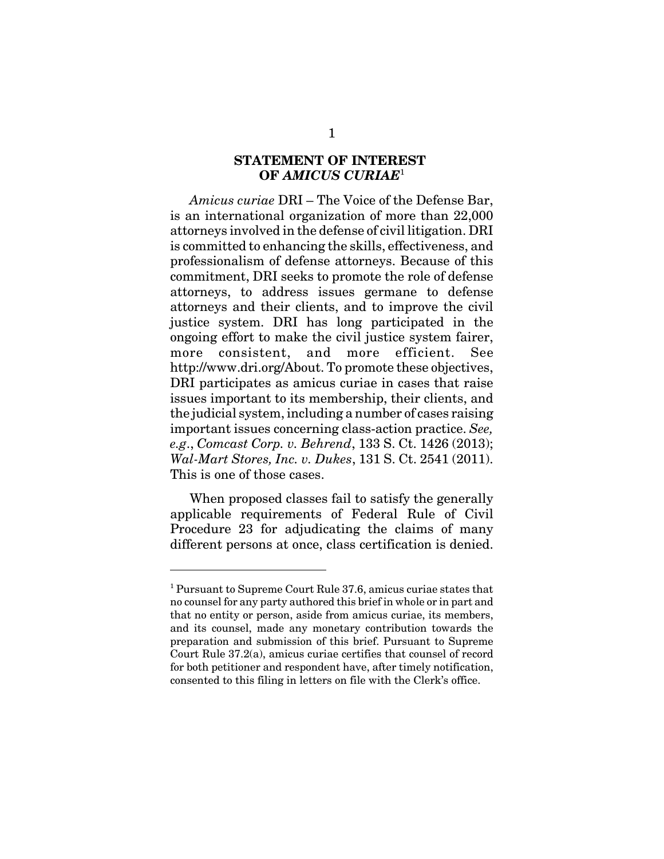### **STATEMENT OF INTEREST OF** *AMICUS CURIAE*<sup>1</sup>

*Amicus curiae* DRI – The Voice of the Defense Bar, is an international organization of more than 22,000 attorneys involved in the defense of civil litigation. DRI is committed to enhancing the skills, effectiveness, and professionalism of defense attorneys. Because of this commitment, DRI seeks to promote the role of defense attorneys, to address issues germane to defense attorneys and their clients, and to improve the civil justice system. DRI has long participated in the ongoing effort to make the civil justice system fairer, more consistent, and more efficient. See http://www.dri.org/About. To promote these objectives, DRI participates as amicus curiae in cases that raise issues important to its membership, their clients, and the judicial system, including a number of cases raising important issues concerning class-action practice. *See, e.g*., *Comcast Corp. v. Behrend*, 133 S. Ct. 1426 (2013); *Wal-Mart Stores, Inc. v. Dukes*, 131 S. Ct. 2541 (2011). This is one of those cases.

When proposed classes fail to satisfy the generally applicable requirements of Federal Rule of Civil Procedure 23 for adjudicating the claims of many different persons at once, class certification is denied.

<sup>&</sup>lt;sup>1</sup> Pursuant to Supreme Court Rule 37.6, amicus curiae states that no counsel for any party authored this brief in whole or in part and that no entity or person, aside from amicus curiae, its members, and its counsel, made any monetary contribution towards the preparation and submission of this brief. Pursuant to Supreme Court Rule 37.2(a), amicus curiae certifies that counsel of record for both petitioner and respondent have, after timely notification, consented to this filing in letters on file with the Clerk's office.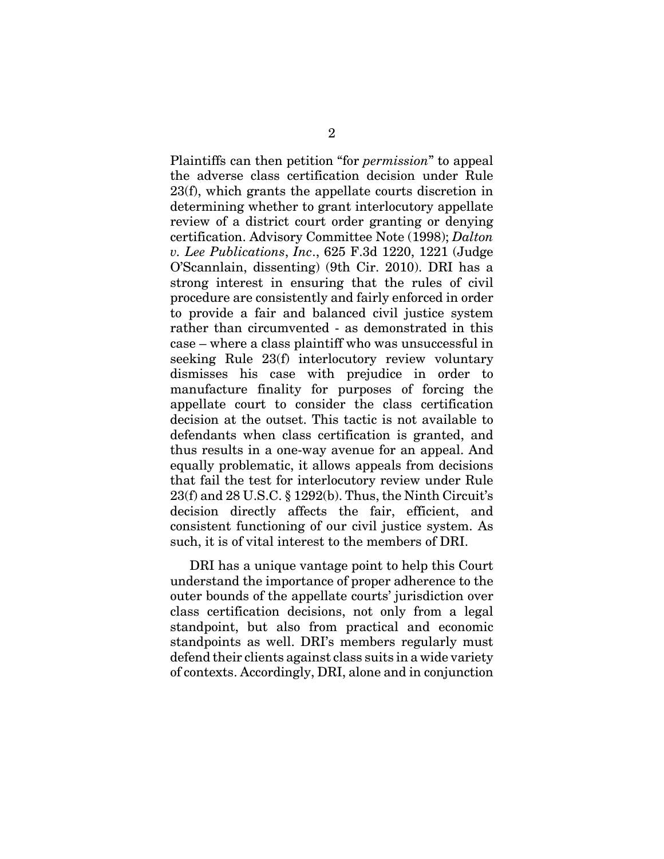Plaintiffs can then petition "for *permission*" to appeal the adverse class certification decision under Rule 23(f), which grants the appellate courts discretion in determining whether to grant interlocutory appellate review of a district court order granting or denying certification. Advisory Committee Note (1998); *Dalton v. Lee Publications*, *Inc*., 625 F.3d 1220, 1221 (Judge O'Scannlain, dissenting) (9th Cir. 2010). DRI has a strong interest in ensuring that the rules of civil procedure are consistently and fairly enforced in order to provide a fair and balanced civil justice system rather than circumvented - as demonstrated in this case – where a class plaintiff who was unsuccessful in seeking Rule 23(f) interlocutory review voluntary dismisses his case with prejudice in order to manufacture finality for purposes of forcing the appellate court to consider the class certification decision at the outset. This tactic is not available to defendants when class certification is granted, and thus results in a one-way avenue for an appeal. And equally problematic, it allows appeals from decisions that fail the test for interlocutory review under Rule 23(f) and 28 U.S.C. § 1292(b). Thus, the Ninth Circuit's decision directly affects the fair, efficient, and consistent functioning of our civil justice system. As such, it is of vital interest to the members of DRI.

DRI has a unique vantage point to help this Court understand the importance of proper adherence to the outer bounds of the appellate courts' jurisdiction over class certification decisions, not only from a legal standpoint, but also from practical and economic standpoints as well. DRI's members regularly must defend their clients against class suits in a wide variety of contexts. Accordingly, DRI, alone and in conjunction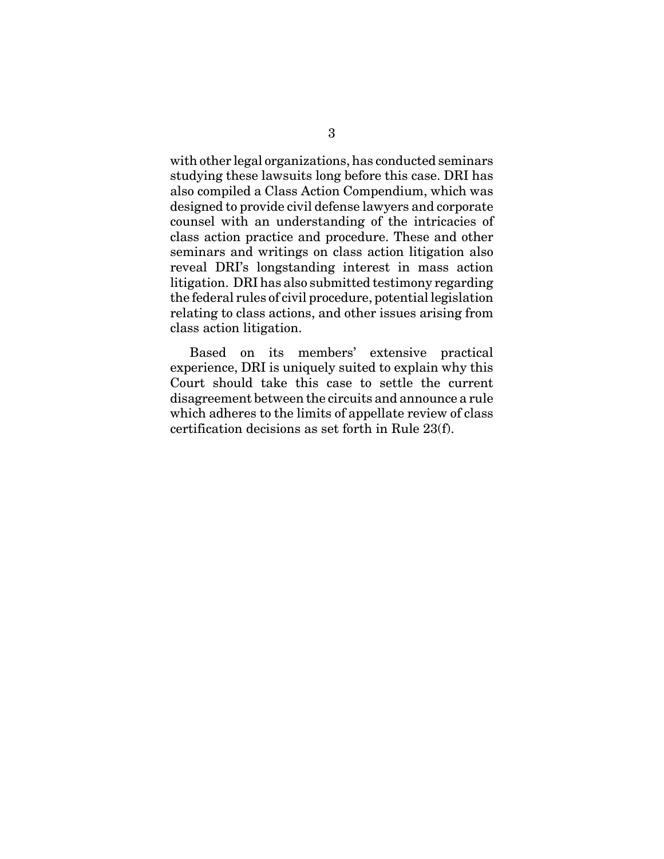with other legal organizations, has conducted seminars studying these lawsuits long before this case. DRI has also compiled a Class Action Compendium, which was designed to provide civil defense lawyers and corporate counsel with an understanding of the intricacies of class action practice and procedure. These and other seminars and writings on class action litigation also reveal DRI's longstanding interest in mass action litigation. DRI has also submitted testimony regarding the federal rules of civil procedure, potential legislation relating to class actions, and other issues arising from class action litigation.

Based on its members' extensive practical experience, DRI is uniquely suited to explain why this Court should take this case to settle the current disagreement between the circuits and announce a rule which adheres to the limits of appellate review of class certification decisions as set forth in Rule 23(f).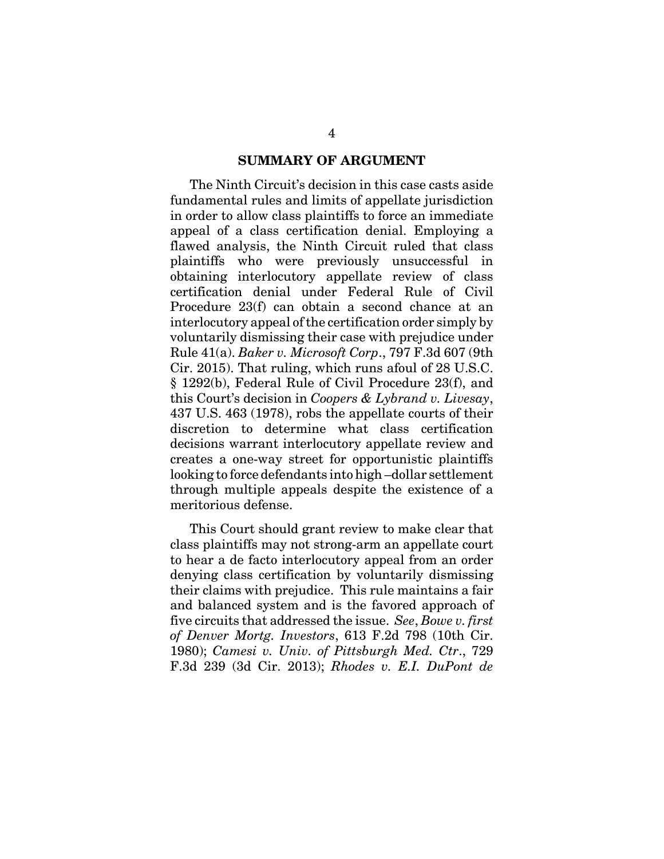#### **SUMMARY OF ARGUMENT**

The Ninth Circuit's decision in this case casts aside fundamental rules and limits of appellate jurisdiction in order to allow class plaintiffs to force an immediate appeal of a class certification denial. Employing a flawed analysis, the Ninth Circuit ruled that class plaintiffs who were previously unsuccessful in obtaining interlocutory appellate review of class certification denial under Federal Rule of Civil Procedure 23(f) can obtain a second chance at an interlocutory appeal of the certification order simply by voluntarily dismissing their case with prejudice under Rule 41(a). *Baker v. Microsoft Corp*., 797 F.3d 607 (9th Cir. 2015). That ruling, which runs afoul of 28 U.S.C. § 1292(b), Federal Rule of Civil Procedure 23(f), and this Court's decision in *Coopers & Lybrand v. Livesay*, 437 U.S. 463 (1978), robs the appellate courts of their discretion to determine what class certification decisions warrant interlocutory appellate review and creates a one-way street for opportunistic plaintiffs looking to force defendants into high –dollar settlement through multiple appeals despite the existence of a meritorious defense.

This Court should grant review to make clear that class plaintiffs may not strong-arm an appellate court to hear a de facto interlocutory appeal from an order denying class certification by voluntarily dismissing their claims with prejudice. This rule maintains a fair and balanced system and is the favored approach of five circuits that addressed the issue. *See*, *Bowe v. first of Denver Mortg. Investors*, 613 F.2d 798 (10th Cir. 1980); *Camesi v. Univ. of Pittsburgh Med. Ctr*., 729 F.3d 239 (3d Cir. 2013); *Rhodes v. E.I. DuPont de*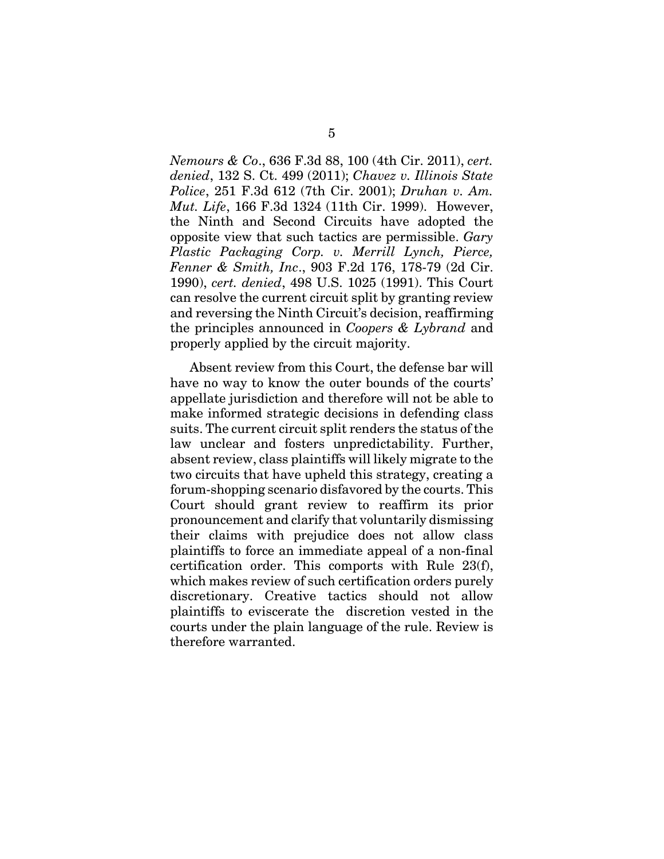*Nemours & Co*., 636 F.3d 88, 100 (4th Cir. 2011), *cert. denied*, 132 S. Ct. 499 (2011); *Chavez v. Illinois State Police*, 251 F.3d 612 (7th Cir. 2001); *Druhan v. Am. Mut. Life*, 166 F.3d 1324 (11th Cir. 1999). However, the Ninth and Second Circuits have adopted the opposite view that such tactics are permissible. *Gary Plastic Packaging Corp. v. Merrill Lynch, Pierce, Fenner & Smith, Inc*., 903 F.2d 176, 178-79 (2d Cir. 1990), *cert. denied*, 498 U.S. 1025 (1991). This Court can resolve the current circuit split by granting review and reversing the Ninth Circuit's decision, reaffirming the principles announced in *Coopers & Lybrand* and properly applied by the circuit majority.

Absent review from this Court, the defense bar will have no way to know the outer bounds of the courts' appellate jurisdiction and therefore will not be able to make informed strategic decisions in defending class suits. The current circuit split renders the status of the law unclear and fosters unpredictability. Further, absent review, class plaintiffs will likely migrate to the two circuits that have upheld this strategy, creating a forum-shopping scenario disfavored by the courts. This Court should grant review to reaffirm its prior pronouncement and clarify that voluntarily dismissing their claims with prejudice does not allow class plaintiffs to force an immediate appeal of a non-final certification order. This comports with Rule 23(f), which makes review of such certification orders purely discretionary. Creative tactics should not allow plaintiffs to eviscerate the discretion vested in the courts under the plain language of the rule. Review is therefore warranted.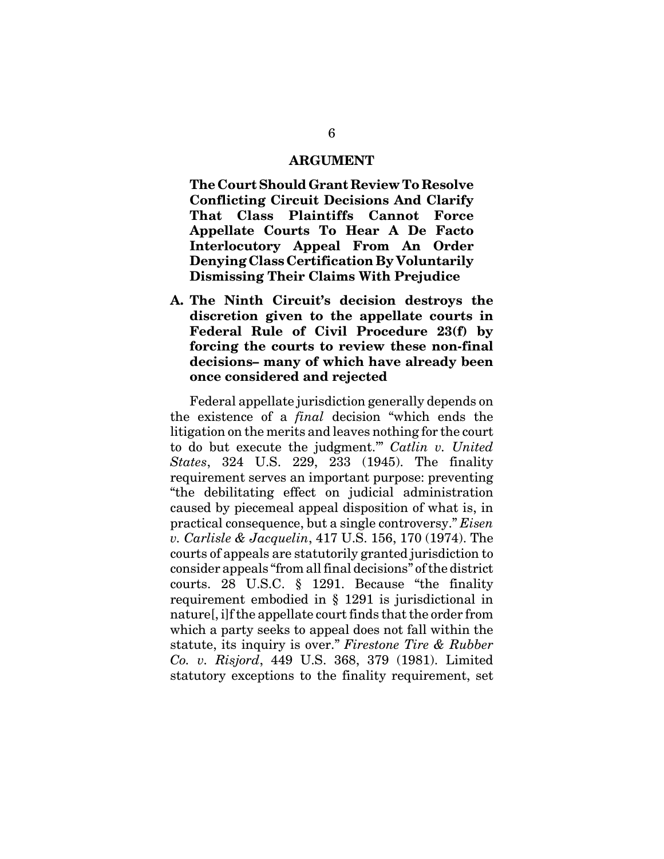#### **ARGUMENT**

**The Court Should Grant Review To Resolve Conflicting Circuit Decisions And Clarify That Class Plaintiffs Cannot Force Appellate Courts To Hear A De Facto Interlocutory Appeal From An Order Denying Class Certification By Voluntarily Dismissing Their Claims With Prejudice**

**A. The Ninth Circuit's decision destroys the discretion given to the appellate courts in Federal Rule of Civil Procedure 23(f) by forcing the courts to review these non-final decisions– many of which have already been once considered and rejected**

Federal appellate jurisdiction generally depends on the existence of a *final* decision "which ends the litigation on the merits and leaves nothing for the court to do but execute the judgment.'" *Catlin v. United States*, 324 U.S. 229, 233 (1945). The finality requirement serves an important purpose: preventing "the debilitating effect on judicial administration caused by piecemeal appeal disposition of what is, in practical consequence, but a single controversy." *Eisen v. Carlisle & Jacquelin*, 417 U.S. 156, 170 (1974). The courts of appeals are statutorily granted jurisdiction to consider appeals "from all final decisions" of the district courts. 28 U.S.C. § 1291. Because "the finality requirement embodied in § 1291 is jurisdictional in nature[, i]f the appellate court finds that the order from which a party seeks to appeal does not fall within the statute, its inquiry is over." *Firestone Tire & Rubber Co. v. Risjord*, 449 U.S. 368, 379 (1981). Limited statutory exceptions to the finality requirement, set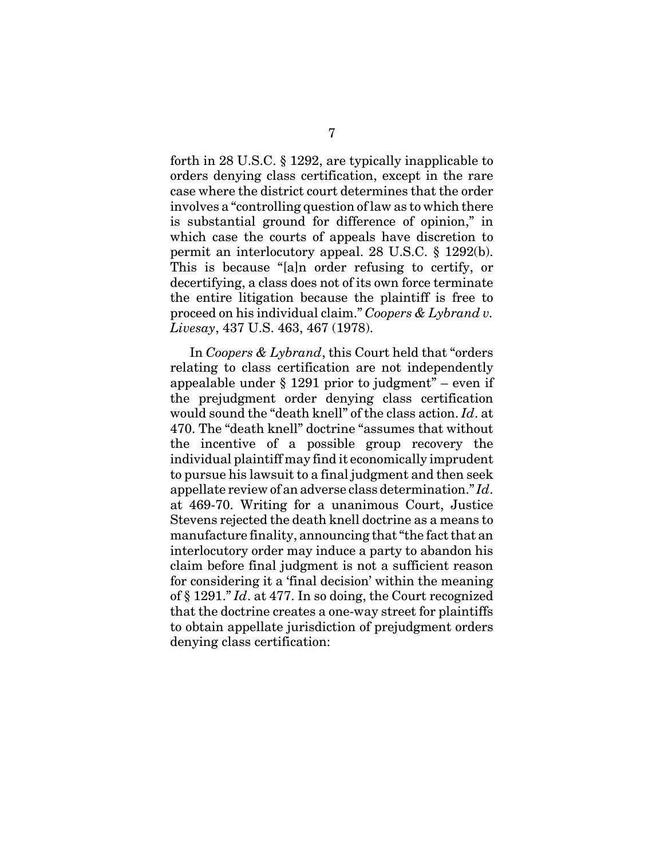forth in 28 U.S.C. § 1292, are typically inapplicable to orders denying class certification, except in the rare case where the district court determines that the order involves a "controlling question of law as to which there is substantial ground for difference of opinion," in which case the courts of appeals have discretion to permit an interlocutory appeal. 28 U.S.C. § 1292(b). This is because "[a]n order refusing to certify, or decertifying, a class does not of its own force terminate the entire litigation because the plaintiff is free to proceed on his individual claim." *Coopers & Lybrand v. Livesay*, 437 U.S. 463, 467 (1978).

In *Coopers & Lybrand*, this Court held that "orders relating to class certification are not independently appealable under § 1291 prior to judgment" – even if the prejudgment order denying class certification would sound the "death knell" of the class action. *Id*. at 470. The "death knell" doctrine "assumes that without the incentive of a possible group recovery the individual plaintiff may find it economically imprudent to pursue his lawsuit to a final judgment and then seek appellate review of an adverse class determination." *Id*. at 469-70. Writing for a unanimous Court, Justice Stevens rejected the death knell doctrine as a means to manufacture finality, announcing that "the fact that an interlocutory order may induce a party to abandon his claim before final judgment is not a sufficient reason for considering it a 'final decision' within the meaning of § 1291." *Id*. at 477. In so doing, the Court recognized that the doctrine creates a one-way street for plaintiffs to obtain appellate jurisdiction of prejudgment orders denying class certification: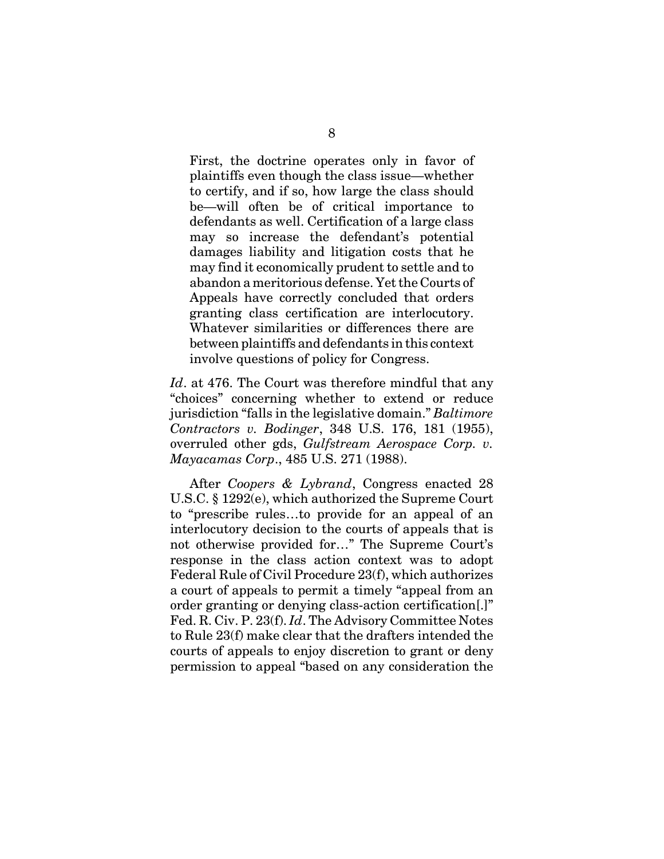First, the doctrine operates only in favor of plaintiffs even though the class issue—whether to certify, and if so, how large the class should be—will often be of critical importance to defendants as well. Certification of a large class may so increase the defendant's potential damages liability and litigation costs that he may find it economically prudent to settle and to abandon a meritorious defense. Yet the Courts of Appeals have correctly concluded that orders granting class certification are interlocutory. Whatever similarities or differences there are between plaintiffs and defendants in this context involve questions of policy for Congress.

*Id.* at 476. The Court was therefore mindful that any "choices" concerning whether to extend or reduce jurisdiction "falls in the legislative domain." *Baltimore Contractors v. Bodinger*, 348 U.S. 176, 181 (1955), overruled other gds, *Gulfstream Aerospace Corp. v. Mayacamas Corp*., 485 U.S. 271 (1988).

After *Coopers & Lybrand*, Congress enacted 28 U.S.C. § 1292(e), which authorized the Supreme Court to "prescribe rules…to provide for an appeal of an interlocutory decision to the courts of appeals that is not otherwise provided for…" The Supreme Court's response in the class action context was to adopt Federal Rule of Civil Procedure 23(f), which authorizes a court of appeals to permit a timely "appeal from an order granting or denying class-action certification[.]" Fed. R. Civ. P. 23(f). *Id*. The Advisory Committee Notes to Rule 23(f) make clear that the drafters intended the courts of appeals to enjoy discretion to grant or deny permission to appeal "based on any consideration the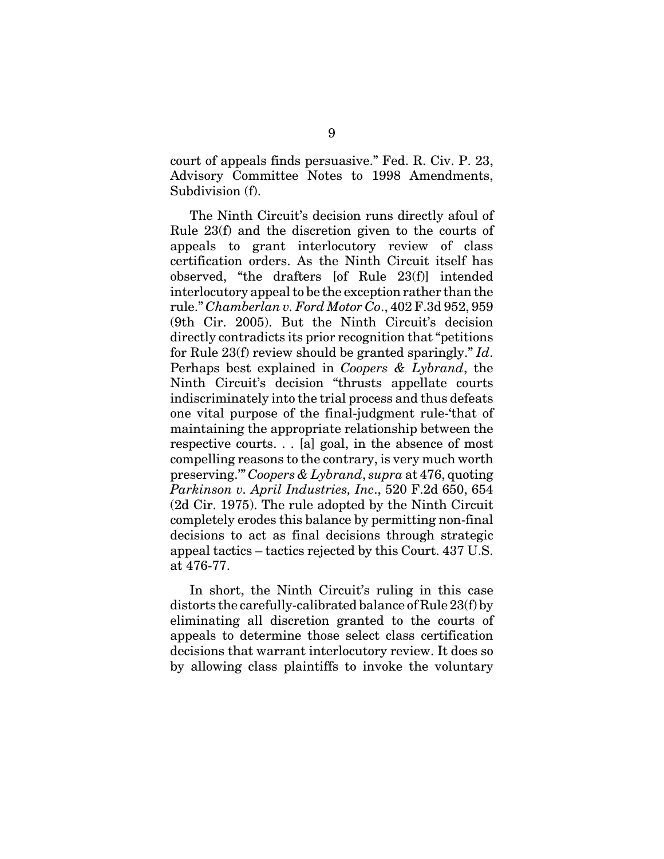court of appeals finds persuasive." Fed. R. Civ. P. 23, Advisory Committee Notes to 1998 Amendments, Subdivision (f).

The Ninth Circuit's decision runs directly afoul of Rule 23(f) and the discretion given to the courts of appeals to grant interlocutory review of class certification orders. As the Ninth Circuit itself has observed, "the drafters [of Rule 23(f)] intended interlocutory appeal to be the exception rather than the rule." *Chamberlan v. Ford Motor Co*., 402 F.3d 952, 959 (9th Cir. 2005). But the Ninth Circuit's decision directly contradicts its prior recognition that "petitions for Rule 23(f) review should be granted sparingly." *Id*. Perhaps best explained in *Coopers & Lybrand*, the Ninth Circuit's decision "thrusts appellate courts indiscriminately into the trial process and thus defeats one vital purpose of the final-judgment rule-'that of maintaining the appropriate relationship between the respective courts. . . [a] goal, in the absence of most compelling reasons to the contrary, is very much worth preserving.'" *Coopers & Lybrand*, *supra* at 476, quoting *Parkinson v. April Industries, Inc*., 520 F.2d 650, 654 (2d Cir. 1975). The rule adopted by the Ninth Circuit completely erodes this balance by permitting non-final decisions to act as final decisions through strategic appeal tactics – tactics rejected by this Court. 437 U.S. at 476-77.

In short, the Ninth Circuit's ruling in this case distorts the carefully-calibrated balance of Rule 23(f) by eliminating all discretion granted to the courts of appeals to determine those select class certification decisions that warrant interlocutory review. It does so by allowing class plaintiffs to invoke the voluntary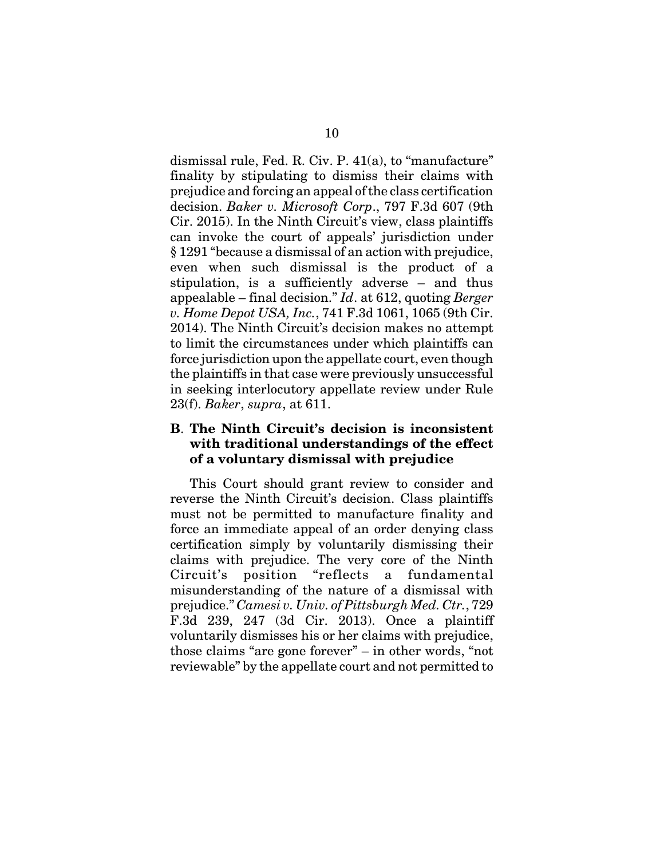dismissal rule, Fed. R. Civ. P. 41(a), to "manufacture" finality by stipulating to dismiss their claims with prejudice and forcing an appeal of the class certification decision. *Baker v. Microsoft Corp*., 797 F.3d 607 (9th Cir. 2015). In the Ninth Circuit's view, class plaintiffs can invoke the court of appeals' jurisdiction under § 1291 "because a dismissal of an action with prejudice, even when such dismissal is the product of a stipulation, is a sufficiently adverse – and thus appealable – final decision." *Id*. at 612, quoting *Berger v. Home Depot USA, Inc.*, 741 F.3d 1061, 1065 (9th Cir. 2014). The Ninth Circuit's decision makes no attempt to limit the circumstances under which plaintiffs can force jurisdiction upon the appellate court, even though the plaintiffs in that case were previously unsuccessful in seeking interlocutory appellate review under Rule 23(f). *Baker*, *supra*, at 611.

### **B**. **The Ninth Circuit's decision is inconsistent with traditional understandings of the effect of a voluntary dismissal with prejudice**

This Court should grant review to consider and reverse the Ninth Circuit's decision. Class plaintiffs must not be permitted to manufacture finality and force an immediate appeal of an order denying class certification simply by voluntarily dismissing their claims with prejudice. The very core of the Ninth Circuit's position "reflects a fundamental misunderstanding of the nature of a dismissal with prejudice." *Camesi v. Univ. of Pittsburgh Med. Ctr.*, 729 F.3d 239, 247 (3d Cir. 2013). Once a plaintiff voluntarily dismisses his or her claims with prejudice, those claims "are gone forever" – in other words, "not reviewable" by the appellate court and not permitted to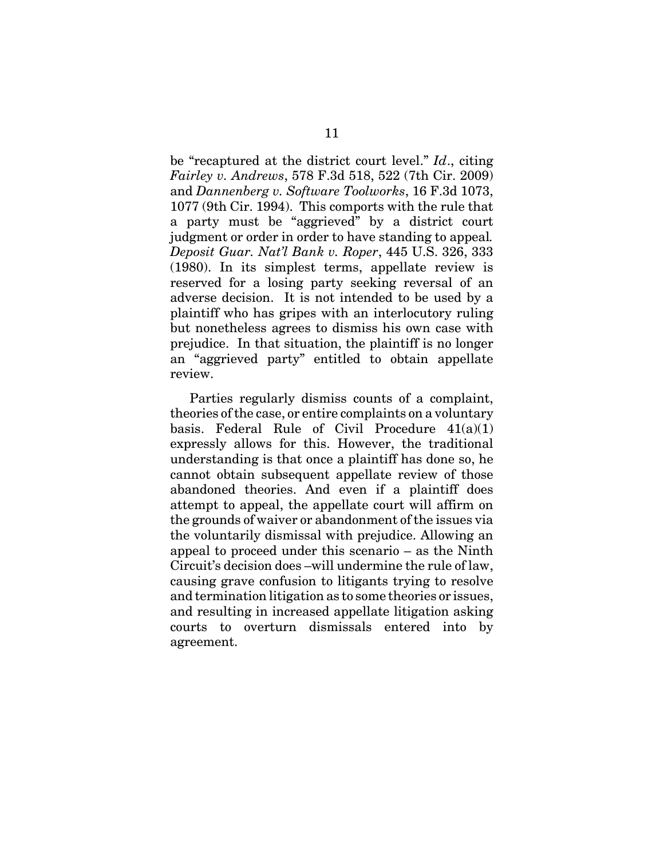be "recaptured at the district court level." *Id*., citing *Fairley v. Andrews*, 578 F.3d 518, 522 (7th Cir. 2009) and *Dannenberg v. Software Toolworks*, 16 F.3d 1073, 1077 (9th Cir. 1994). This comports with the rule that a party must be "aggrieved" by a district court judgment or order in order to have standing to appeal*. Deposit Guar. Nat'l Bank v. Roper*, 445 U.S. 326, 333 (1980). In its simplest terms, appellate review is reserved for a losing party seeking reversal of an adverse decision. It is not intended to be used by a plaintiff who has gripes with an interlocutory ruling but nonetheless agrees to dismiss his own case with prejudice. In that situation, the plaintiff is no longer an "aggrieved party" entitled to obtain appellate review.

Parties regularly dismiss counts of a complaint, theories of the case, or entire complaints on a voluntary basis. Federal Rule of Civil Procedure  $41(a)(1)$ expressly allows for this. However, the traditional understanding is that once a plaintiff has done so, he cannot obtain subsequent appellate review of those abandoned theories. And even if a plaintiff does attempt to appeal, the appellate court will affirm on the grounds of waiver or abandonment of the issues via the voluntarily dismissal with prejudice. Allowing an appeal to proceed under this scenario – as the Ninth Circuit's decision does –will undermine the rule of law, causing grave confusion to litigants trying to resolve and termination litigation as to some theories or issues, and resulting in increased appellate litigation asking courts to overturn dismissals entered into by agreement.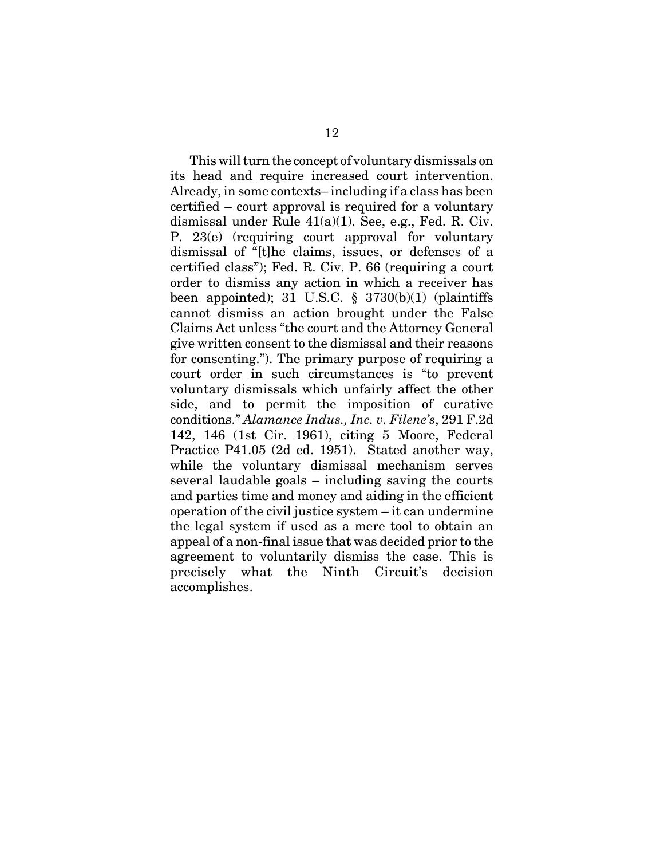This will turn the concept of voluntary dismissals on its head and require increased court intervention. Already, in some contexts– including if a class has been certified – court approval is required for a voluntary dismissal under Rule  $41(a)(1)$ . See, e.g., Fed. R. Civ. P. 23(e) (requiring court approval for voluntary dismissal of "[t]he claims, issues, or defenses of a certified class"); Fed. R. Civ. P. 66 (requiring a court order to dismiss any action in which a receiver has been appointed); 31 U.S.C.  $\S$  3730(b)(1) (plaintiffs cannot dismiss an action brought under the False Claims Act unless "the court and the Attorney General give written consent to the dismissal and their reasons for consenting."). The primary purpose of requiring a court order in such circumstances is "to prevent voluntary dismissals which unfairly affect the other side, and to permit the imposition of curative conditions." *Alamance Indus., Inc. v. Filene's*, 291 F.2d 142, 146 (1st Cir. 1961), citing 5 Moore, Federal Practice P41.05 (2d ed. 1951). Stated another way, while the voluntary dismissal mechanism serves several laudable goals – including saving the courts and parties time and money and aiding in the efficient operation of the civil justice system – it can undermine the legal system if used as a mere tool to obtain an appeal of a non-final issue that was decided prior to the agreement to voluntarily dismiss the case. This is precisely what the Ninth Circuit's decision accomplishes.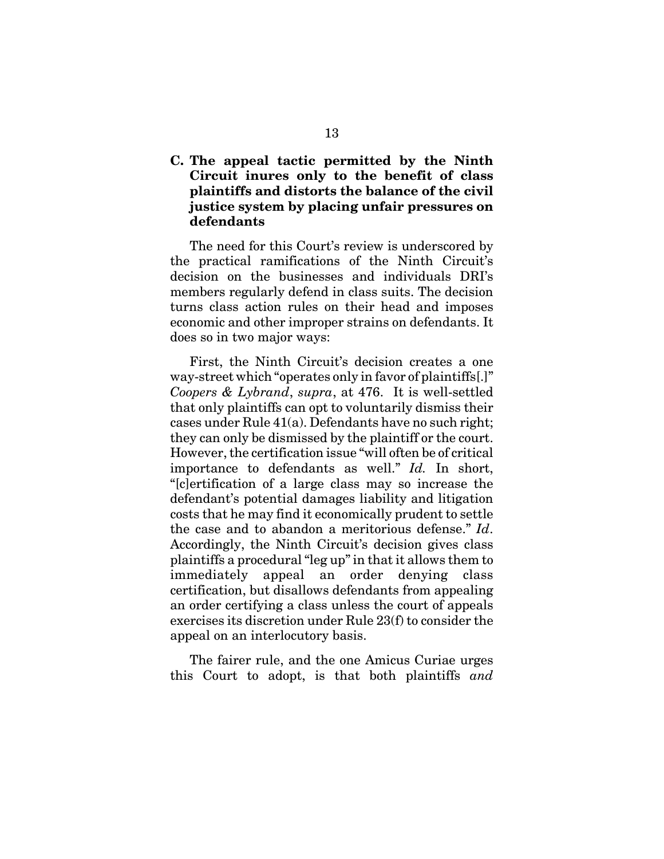### **C. The appeal tactic permitted by the Ninth Circuit inures only to the benefit of class plaintiffs and distorts the balance of the civil justice system by placing unfair pressures on defendants**

The need for this Court's review is underscored by the practical ramifications of the Ninth Circuit's decision on the businesses and individuals DRI's members regularly defend in class suits. The decision turns class action rules on their head and imposes economic and other improper strains on defendants. It does so in two major ways:

First, the Ninth Circuit's decision creates a one way-street which "operates only in favor of plaintiffs[.]" *Coopers & Lybrand*, *supra*, at 476. It is well-settled that only plaintiffs can opt to voluntarily dismiss their cases under Rule 41(a). Defendants have no such right; they can only be dismissed by the plaintiff or the court. However, the certification issue "will often be of critical importance to defendants as well." *Id.* In short, "[c]ertification of a large class may so increase the defendant's potential damages liability and litigation costs that he may find it economically prudent to settle the case and to abandon a meritorious defense." *Id*. Accordingly, the Ninth Circuit's decision gives class plaintiffs a procedural "leg up" in that it allows them to immediately appeal an order denying class certification, but disallows defendants from appealing an order certifying a class unless the court of appeals exercises its discretion under Rule 23(f) to consider the appeal on an interlocutory basis.

The fairer rule, and the one Amicus Curiae urges this Court to adopt, is that both plaintiffs *and*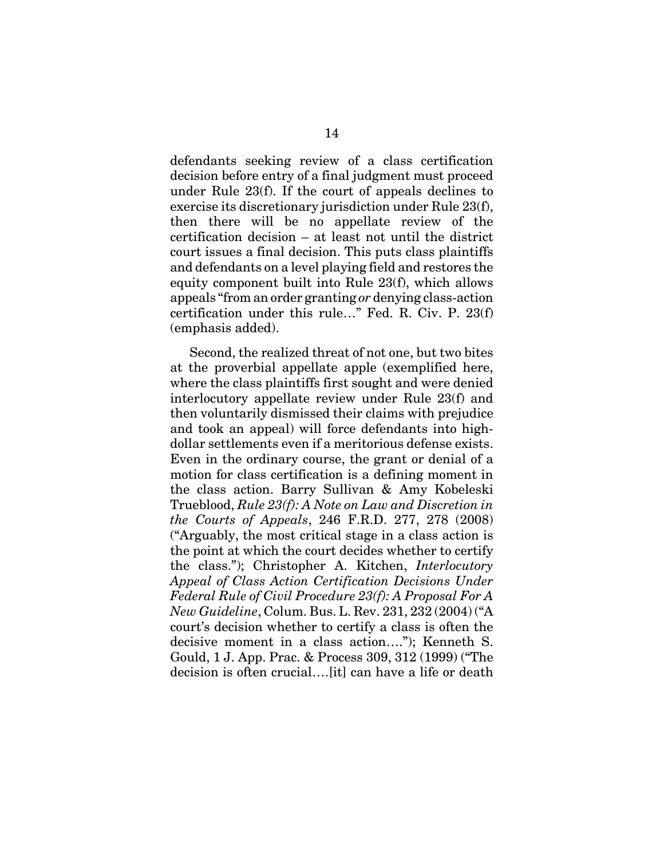defendants seeking review of a class certification decision before entry of a final judgment must proceed under Rule 23(f). If the court of appeals declines to exercise its discretionary jurisdiction under Rule 23(f), then there will be no appellate review of the certification decision – at least not until the district court issues a final decision. This puts class plaintiffs and defendants on a level playing field and restores the equity component built into Rule 23(f), which allows appeals "from an order granting *or* denying class-action certification under this rule…" Fed. R. Civ. P. 23(f) (emphasis added).

Second, the realized threat of not one, but two bites at the proverbial appellate apple (exemplified here, where the class plaintiffs first sought and were denied interlocutory appellate review under Rule 23(f) and then voluntarily dismissed their claims with prejudice and took an appeal) will force defendants into highdollar settlements even if a meritorious defense exists. Even in the ordinary course, the grant or denial of a motion for class certification is a defining moment in the class action. Barry Sullivan & Amy Kobeleski Trueblood, *Rule 23(f): A Note on Law and Discretion in the Courts of Appeals*, 246 F.R.D. 277, 278 (2008) ("Arguably, the most critical stage in a class action is the point at which the court decides whether to certify the class."); Christopher A. Kitchen, *Interlocutory Appeal of Class Action Certification Decisions Under Federal Rule of Civil Procedure 23(f): A Proposal For A New Guideline*, Colum. Bus. L. Rev. 231, 232 (2004) ("A court's decision whether to certify a class is often the decisive moment in a class action…."); Kenneth S. Gould, 1 J. App. Prac. & Process 309, 312 (1999) ("The decision is often crucial….[it] can have a life or death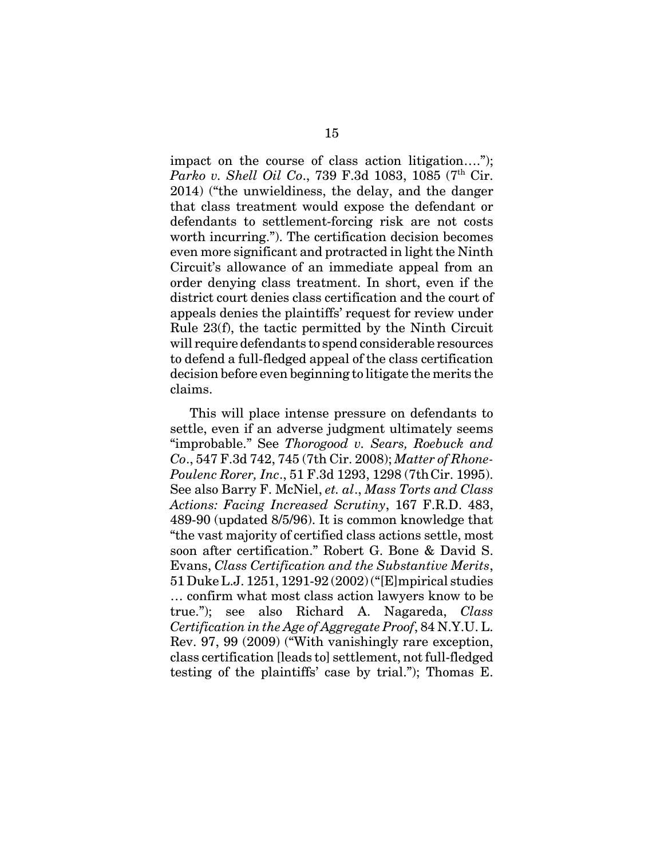impact on the course of class action litigation…."); *Parko v. Shell Oil Co.*, 739 F.3d 1083, 1085 (7<sup>th</sup> Cir. 2014) ("the unwieldiness, the delay, and the danger that class treatment would expose the defendant or defendants to settlement-forcing risk are not costs worth incurring."). The certification decision becomes even more significant and protracted in light the Ninth Circuit's allowance of an immediate appeal from an order denying class treatment. In short, even if the district court denies class certification and the court of appeals denies the plaintiffs' request for review under Rule 23(f), the tactic permitted by the Ninth Circuit will require defendants to spend considerable resources to defend a full-fledged appeal of the class certification decision before even beginning to litigate the merits the claims.

This will place intense pressure on defendants to settle, even if an adverse judgment ultimately seems "improbable." See *Thorogood v. Sears, Roebuck and Co*., 547 F.3d 742, 745 (7th Cir. 2008); *Matter of Rhone-Poulenc Rorer, Inc*., 51 F.3d 1293, 1298 (7thCir. 1995). See also Barry F. McNiel, *et. al*., *Mass Torts and Class Actions: Facing Increased Scrutiny*, 167 F.R.D. 483, 489-90 (updated 8/5/96). It is common knowledge that "the vast majority of certified class actions settle, most soon after certification." Robert G. Bone & David S. Evans, *Class Certification and the Substantive Merits*, 51 Duke L.J. 1251, 1291-92 (2002) ("[E]mpirical studies … confirm what most class action lawyers know to be true."); see also Richard A. Nagareda, *Class Certification in the Age of Aggregate Proof*, 84 N.Y.U. L. Rev. 97, 99 (2009) ("With vanishingly rare exception, class certification [leads to] settlement, not full-fledged testing of the plaintiffs' case by trial."); Thomas E.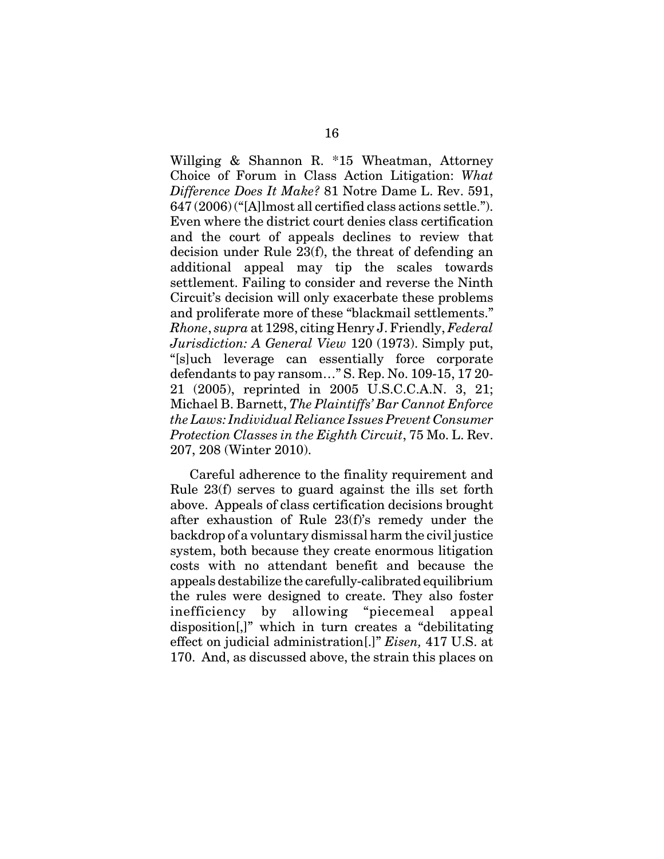Willging & Shannon R. \*15 Wheatman, Attorney Choice of Forum in Class Action Litigation: *What Difference Does It Make?* 81 Notre Dame L. Rev. 591, 647 (2006) ("[A]lmost all certified class actions settle."). Even where the district court denies class certification and the court of appeals declines to review that decision under Rule 23(f), the threat of defending an additional appeal may tip the scales towards settlement. Failing to consider and reverse the Ninth Circuit's decision will only exacerbate these problems and proliferate more of these "blackmail settlements." *Rhone*, *supra* at 1298, citing Henry J. Friendly, *Federal Jurisdiction: A General View* 120 (1973). Simply put, "[s]uch leverage can essentially force corporate defendants to pay ransom…" S. Rep. No. 109-15, 17 20- 21 (2005), reprinted in 2005 U.S.C.C.A.N. 3, 21; Michael B. Barnett, *The Plaintiffs' Bar Cannot Enforce the Laws: Individual Reliance Issues Prevent Consumer Protection Classes in the Eighth Circuit*, 75 Mo. L. Rev. 207, 208 (Winter 2010).

Careful adherence to the finality requirement and Rule 23(f) serves to guard against the ills set forth above. Appeals of class certification decisions brought after exhaustion of Rule 23(f)'s remedy under the backdrop of a voluntary dismissal harm the civil justice system, both because they create enormous litigation costs with no attendant benefit and because the appeals destabilize the carefully-calibrated equilibrium the rules were designed to create. They also foster inefficiency by allowing "piecemeal appeal disposition[,]" which in turn creates a "debilitating effect on judicial administration[.]" *Eisen,* 417 U.S. at 170. And, as discussed above, the strain this places on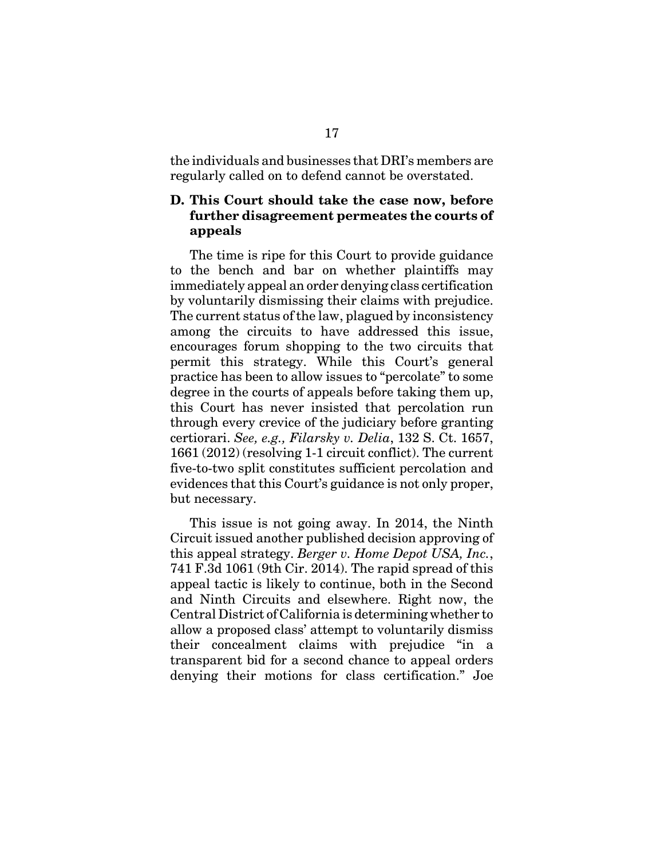the individuals and businesses that DRI's members are regularly called on to defend cannot be overstated.

### **D. This Court should take the case now, before further disagreement permeates the courts of appeals**

The time is ripe for this Court to provide guidance to the bench and bar on whether plaintiffs may immediately appeal an order denying class certification by voluntarily dismissing their claims with prejudice. The current status of the law, plagued by inconsistency among the circuits to have addressed this issue, encourages forum shopping to the two circuits that permit this strategy. While this Court's general practice has been to allow issues to "percolate" to some degree in the courts of appeals before taking them up, this Court has never insisted that percolation run through every crevice of the judiciary before granting certiorari. *See, e.g., Filarsky v. Delia*, 132 S. Ct. 1657, 1661 (2012) (resolving 1-1 circuit conflict). The current five-to-two split constitutes sufficient percolation and evidences that this Court's guidance is not only proper, but necessary.

This issue is not going away. In 2014, the Ninth Circuit issued another published decision approving of this appeal strategy. *Berger v. Home Depot USA, Inc.*, 741 F.3d 1061 (9th Cir. 2014). The rapid spread of this appeal tactic is likely to continue, both in the Second and Ninth Circuits and elsewhere. Right now, the Central District of California is determining whether to allow a proposed class' attempt to voluntarily dismiss their concealment claims with prejudice "in a transparent bid for a second chance to appeal orders denying their motions for class certification." Joe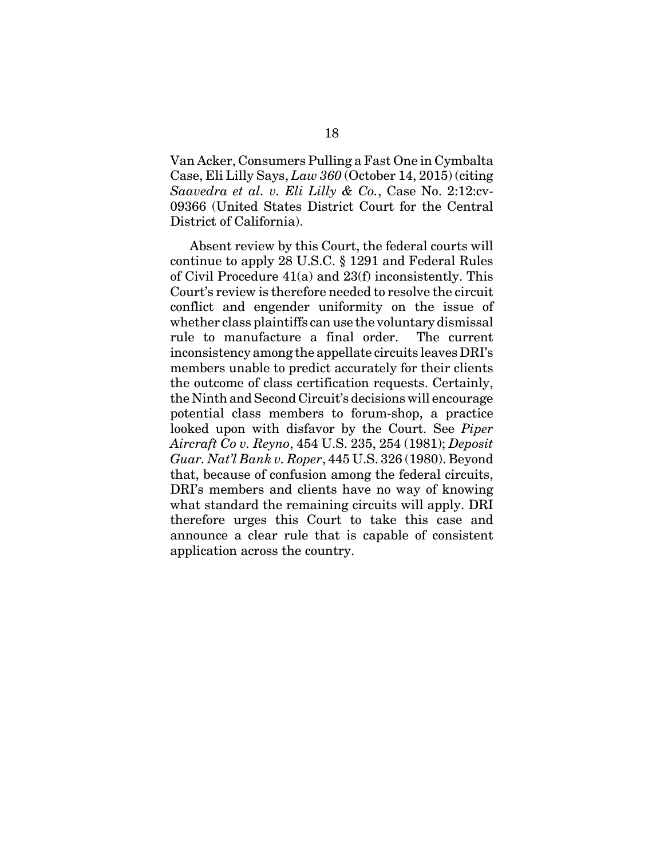Van Acker, Consumers Pulling a Fast One in Cymbalta Case, Eli Lilly Says, *Law 360* (October 14, 2015) (citing *Saavedra et al. v. Eli Lilly & Co.*, Case No. 2:12:cv-09366 (United States District Court for the Central District of California).

Absent review by this Court, the federal courts will continue to apply 28 U.S.C. § 1291 and Federal Rules of Civil Procedure 41(a) and 23(f) inconsistently. This Court's review is therefore needed to resolve the circuit conflict and engender uniformity on the issue of whether class plaintiffs can use the voluntary dismissal rule to manufacture a final order. The current inconsistency among the appellate circuits leaves DRI's members unable to predict accurately for their clients the outcome of class certification requests. Certainly, the Ninth and Second Circuit's decisions will encourage potential class members to forum-shop, a practice looked upon with disfavor by the Court. See *Piper Aircraft Co v. Reyno*, 454 U.S. 235, 254 (1981); *Deposit Guar. Nat'l Bank v. Roper*, 445 U.S. 326 (1980). Beyond that, because of confusion among the federal circuits, DRI's members and clients have no way of knowing what standard the remaining circuits will apply. DRI therefore urges this Court to take this case and announce a clear rule that is capable of consistent application across the country.